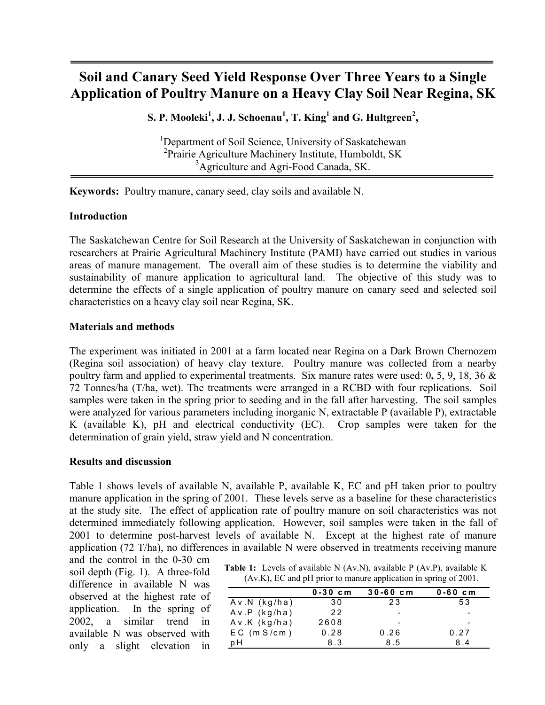# **Soil and Canary Seed Yield Response Over Three Years to a Single Application of Poultry Manure on a Heavy Clay Soil Near Regina, SK**

 $\mathbf{S}.$  **P.** Mooleki $^1$ , J. J. Schoenau $^1$ , T. King $^1$  and G. Hultgreen $^2$ ,

<sup>1</sup>Department of Soil Science, University of Saskatchewan <sup>2</sup> Prairie Agriculture Machinery Institute, Humboldt, SK <sup>3</sup>Agriculture and Agri-Food Canada, SK.

**Keywords:** Poultry manure, canary seed, clay soils and available N.

## **Introduction**

The Saskatchewan Centre for Soil Research at the University of Saskatchewan in conjunction with researchers at Prairie Agricultural Machinery Institute (PAMI) have carried out studies in various areas of manure management. The overall aim of these studies is to determine the viability and sustainability of manure application to agricultural land. The objective of this study was to determine the effects of a single application of poultry manure on canary seed and selected soil characteristics on a heavy clay soil near Regina, SK.

## **Materials and methods**

The experiment was initiated in 2001 at a farm located near Regina on a Dark Brown Chernozem (Regina soil association) of heavy clay texture. Poultry manure was collected from a nearby poultry farm and applied to experimental treatments. Six manure rates were used: 0**,** 5, 9, 18, 36 & 72 Tonnes/ha (T/ha, wet). The treatments were arranged in a RCBD with four replications. Soil samples were taken in the spring prior to seeding and in the fall after harvesting. The soil samples were analyzed for various parameters including inorganic N, extractable P (available P), extractable K (available K), pH and electrical conductivity (EC). Crop samples were taken for the determination of grain yield, straw yield and N concentration.

### **Results and discussion**

Table 1 shows levels of available N, available P, available K, EC and pH taken prior to poultry manure application in the spring of 2001. These levels serve as a baseline for these characteristics at the study site. The effect of application rate of poultry manure on soil characteristics was not determined immediately following application. However, soil samples were taken in the fall of 2001 to determine post-harvest levels of available N. Except at the highest rate of manure application (72 T/ha), no differences in available N were observed in treatments receiving manure

and the control in the 0-30 cm soil depth (Fig. 1). A three-fold difference in available N was observed at the highest rate of application. In the spring of 2002, a similar trend in available N was observed with only a slight elevation in

| <b>Table 1:</b> Levels of available N $(Av.N)$ , available P $(Av.P)$ , available K |  |  |
|-------------------------------------------------------------------------------------|--|--|
| $(Av.K)$ , EC and pH prior to manure application in spring of 2001.                 |  |  |

|                  | $0 - 30$ cm | $30 - 60$ cm             | $0 - 60$ cm |
|------------------|-------------|--------------------------|-------------|
| Av.N (kg/ha)     | 30          | 23                       | 53          |
| Av.P (kg/ha)     | 22          |                          |             |
| Av.K (kg/ha)     | 2608        | $\overline{\phantom{0}}$ |             |
| $EC$ (m $S/cm$ ) | 0.28        | 0.26                     | 0.27        |
| p H              | 8.3         | 8.5                      | 84          |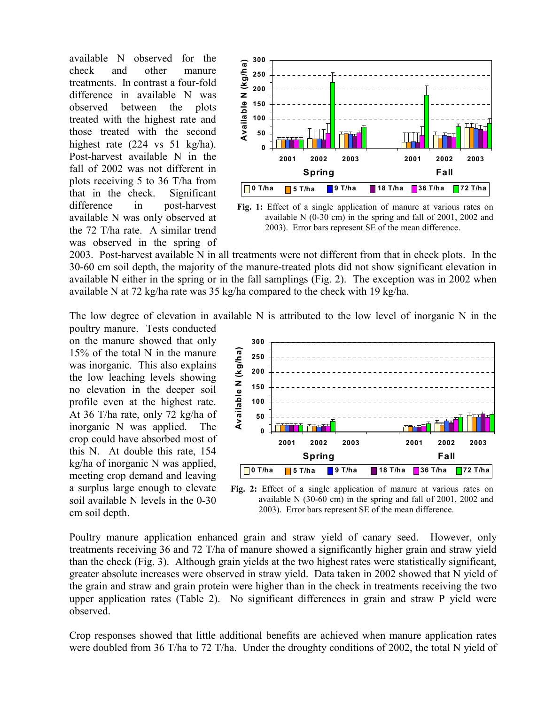available N observed for the check and other manure treatments. In contrast a four-fold difference in available N was observed between the plots treated with the highest rate and those treated with the second highest rate (224 vs 51 kg/ha). Post-harvest available N in the fall of 2002 was not different in plots receiving 5 to 36 T/ha from that in the check. Significant difference in post-harvest available N was only observed at the 72 T/ha rate. A similar trend was observed in the spring of



**Fig. 1:** Effect of a single application of manure at various rates on available N (0-30 cm) in the spring and fall of 2001, 2002 and 2003). Error bars represent SE of the mean difference.

2003. Post-harvest available N in all treatments were not different from that in check plots. In the 30-60 cm soil depth, the majority of the manure-treated plots did not show significant elevation in available N either in the spring or in the fall samplings (Fig. 2). The exception was in 2002 when available N at 72 kg/ha rate was 35 kg/ha compared to the check with 19 kg/ha.

The low degree of elevation in available N is attributed to the low level of inorganic N in the

poultry manure. Tests conducted on the manure showed that only 15% of the total N in the manure was inorganic. This also explains the low leaching levels showing no elevation in the deeper soil profile even at the highest rate. At 36 T/ha rate, only 72 kg/ha of inorganic N was applied. The crop could have absorbed most of this N. At double this rate, 154 kg/ha of inorganic N was applied, meeting crop demand and leaving a surplus large enough to elevate soil available N levels in the 0-30 cm soil depth.



**Fig. 2:** Effect of a single application of manure at various rates on available N (30-60 cm) in the spring and fall of 2001, 2002 and 2003). Error bars represent SE of the mean difference.

Poultry manure application enhanced grain and straw yield of canary seed. However, only treatments receiving 36 and 72 T/ha of manure showed a significantly higher grain and straw yield than the check (Fig. 3). Although grain yields at the two highest rates were statistically significant, greater absolute increases were observed in straw yield. Data taken in 2002 showed that N yield of the grain and straw and grain protein were higher than in the check in treatments receiving the two upper application rates (Table 2). No significant differences in grain and straw P yield were observed.

Crop responses showed that little additional benefits are achieved when manure application rates were doubled from 36 T/ha to 72 T/ha. Under the droughty conditions of 2002, the total N yield of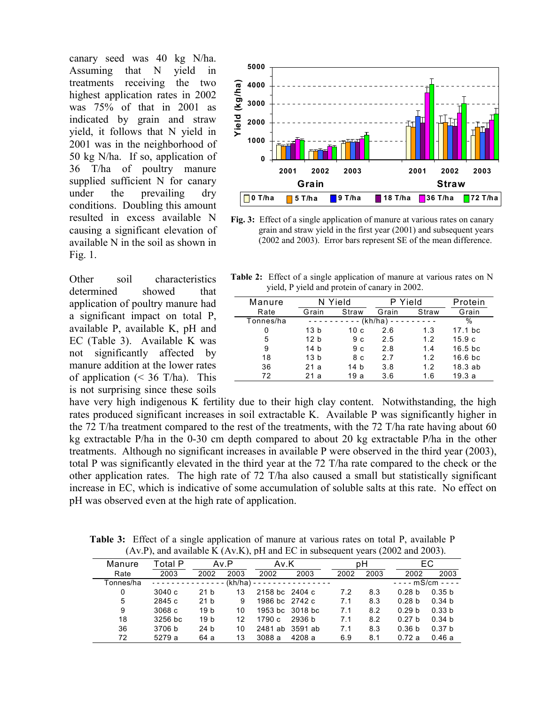canary seed was 40 kg N/ha. Assuming that N yield in treatments receiving the two highest application rates in 2002 was 75% of that in 2001 as indicated by grain and straw yield, it follows that N yield in 2001 was in the neighborhood of 50 kg N/ha. If so, application of 36 T/ha of poultry manure supplied sufficient N for canary under the prevailing dry conditions. Doubling this amount resulted in excess available N causing a significant elevation of available N in the soil as shown in Fig. 1.

Other soil characteristics determined showed that application of poultry manure had a significant impact on total P, available P, available K, pH and EC (Table 3). Available K was not significantly affected by manure addition at the lower rates of application  $\approx$  36 T/ha). This is not surprising since these soils



**Fig. 3:** Effect of a single application of manure at various rates on canary grain and straw yield in the first year (2001) and subsequent years (2002 and 2003). Error bars represent SE of the mean difference.

|  | <b>Table 2:</b> Effect of a single application of manure at various rates on N |  |  |
|--|--------------------------------------------------------------------------------|--|--|
|  | yield, P yield and protein of canary in 2002.                                  |  |  |

| Manure    |                 | N Yield        |         | P Yield | Protein<br>Grain    |  |
|-----------|-----------------|----------------|---------|---------|---------------------|--|
| Rate      | Straw<br>Grain  |                | Grain   | Straw   |                     |  |
| Tonnes/ha |                 |                | (kh/ha) |         | $\frac{0}{0}$       |  |
| 0         | 13 b            | 10 с           | 2.6     | 1.3     | $17.1$ bc           |  |
| 5         | 12 b            | 9с             | 2.5     | 1.2     | 15.9c               |  |
| 9         | 14 b            | 9 <sub>c</sub> | 2.8     | 1.4     | $16.5$ bc           |  |
| 18        | 13 <sub>b</sub> | 8 c            | 2.7     | 1.2     | 16.6 <sub>b</sub> c |  |
| 36        | 21 a            | 14 b           | 3.8     | 1.2     | 18.3ab              |  |
| 72        | 21 a            | 19 a           | 3.6     | 1.6     | 19.3a               |  |

have very high indigenous K fertility due to their high clay content. Notwithstanding, the high rates produced significant increases in soil extractable K. Available P was significantly higher in the 72 T/ha treatment compared to the rest of the treatments, with the 72 T/ha rate having about 60 kg extractable P/ha in the 0-30 cm depth compared to about 20 kg extractable P/ha in the other treatments. Although no significant increases in available P were observed in the third year (2003), total P was significantly elevated in the third year at the 72 T/ha rate compared to the check or the other application rates. The high rate of 72 T/ha also caused a small but statistically significant increase in EC, which is indicative of some accumulation of soluble salts at this rate. No effect on pH was observed even at the high rate of application.

**Table 3:** Effect of a single application of manure at various rates on total P, available P (Av.P), and available K (Av.K), pH and EC in subsequent years (2002 and 2003).

| Total P |                 |      |        |        |                                                                                                                       |      |                   | EС                  |
|---------|-----------------|------|--------|--------|-----------------------------------------------------------------------------------------------------------------------|------|-------------------|---------------------|
| 2003    | 2002            | 2003 | 2002   | 2003   | 2002                                                                                                                  | 2003 | 2002              | 2003                |
|         |                 |      |        |        |                                                                                                                       |      |                   | $---$ mS/cm - - - - |
| 3040c   | 21 <sub>b</sub> | 13   |        |        | 7.2                                                                                                                   | 8.3  | 0.28 <sub>b</sub> | 0.35 <sub>b</sub>   |
| 2845 c  | 21 <sub>b</sub> | 9    |        |        | 7.1                                                                                                                   | 8.3  | 0.28 <sub>b</sub> | 0.34 <sub>b</sub>   |
| 3068c   | 19 b            | 10   |        |        | 7.1                                                                                                                   | 8.2  | 0.29 <sub>b</sub> | 0.33 <sub>b</sub>   |
| 3256 bc | 19 b            | 12   | 1790 c | 2936 b | 7.1                                                                                                                   | 8.2  | 0.27 <sub>b</sub> | 0.34 <sub>b</sub>   |
| 3706 b  | 24 b            | 10   |        |        | 7.1                                                                                                                   | 8.3  | 0.36 <sub>b</sub> | 0.37 <sub>b</sub>   |
| 5279 a  | 64 a            | 13   | 3088 a | 4208 a | 6.9                                                                                                                   | 8.1  | 0.72a             | 0.46 a              |
|         |                 |      | Av.P   |        | Av.K<br>$(kh/ha) - - - - - - - - - - - - -$<br>2158 bc 2404 c<br>1986 bc 2742 c<br>1953 bc 3018 bc<br>2481 ab 3591 ab |      | рH                |                     |